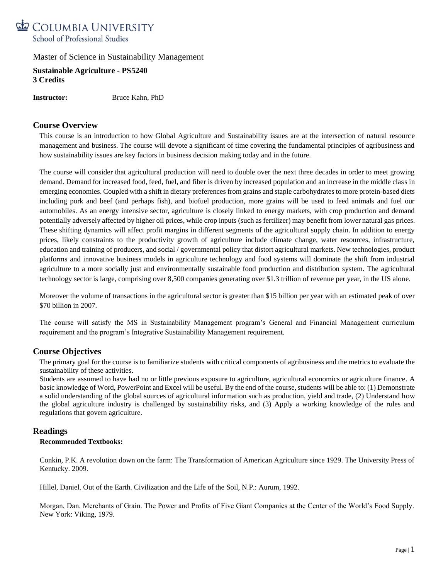

**Sustainable Agriculture - PS5240 3 Credits**

**Instructor:** Bruce Kahn, PhD

# **Course Overview**

This course is an introduction to how Global Agriculture and Sustainability issues are at the intersection of natural resource management and business. The course will devote a significant of time covering the fundamental principles of agribusiness and how sustainability issues are key factors in business decision making today and in the future.

The course will consider that agricultural production will need to double over the next three decades in order to meet growing demand. Demand for increased food, feed, fuel, and fiber is driven by increased population and an increase in the middle class in emerging economies. Coupled with a shift in dietary preferences from grains and staple carbohydrates to more protein-based diets including pork and beef (and perhaps fish), and biofuel production, more grains will be used to feed animals and fuel our automobiles. As an energy intensive sector, agriculture is closely linked to energy markets, with crop production and demand potentially adversely affected by higher oil prices, while crop inputs (such as fertilizer) may benefit from lower natural gas prices. These shifting dynamics will affect profit margins in different segments of the agricultural supply chain. In addition to energy prices, likely constraints to the productivity growth of agriculture include climate change, water resources, infrastructure, education and training of producers, and social / governmental policy that distort agricultural markets. New technologies, product platforms and innovative business models in agriculture technology and food systems will dominate the shift from industrial agriculture to a more socially just and environmentally sustainable food production and distribution system. The agricultural technology sector is large, comprising over 8,500 companies generating over \$1.3 trillion of revenue per year, in the US alone.

Moreover the volume of transactions in the agricultural sector is greater than \$15 billion per year with an estimated peak of over \$70 billion in 2007.

The course will satisfy the MS in Sustainability Management program's General and Financial Management curriculum requirement and the program's Integrative Sustainability Management requirement.

# **Course Objectives**

The primary goal for the course is to familiarize students with critical components of agribusiness and the metrics to evaluate the sustainability of these activities.

Students are assumed to have had no or little previous exposure to agriculture, agricultural economics or agriculture finance. A basic knowledge of Word, PowerPoint and Excel will be useful. By the end of the course, students will be able to: (1) Demonstrate a solid understanding of the global sources of agricultural information such as production, yield and trade, (2) Understand how the global agriculture industry is challenged by sustainability risks, and (3) Apply a working knowledge of the rules and regulations that govern agriculture.

### **Readings**

### **Recommended Textbooks:**

Conkin, P.K. A revolution down on the farm: The Transformation of American Agriculture since 1929. The University Press of Kentucky. 2009.

Hillel, Daniel. Out of the Earth. Civilization and the Life of the Soil, N.P.: Aurum, 1992.

Morgan, Dan. Merchants of Grain. The Power and Profits of Five Giant Companies at the Center of the World's Food Supply. New York: Viking, 1979.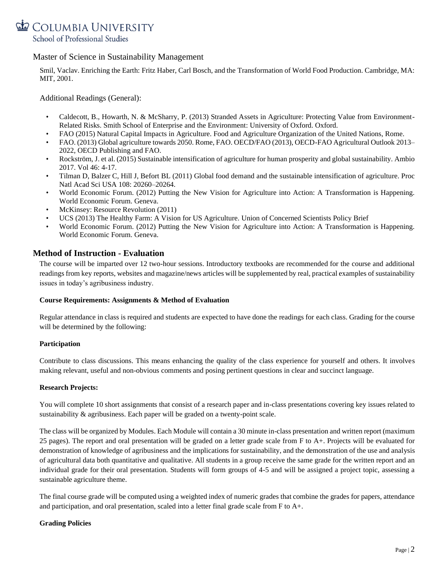

Smil, Vaclav. Enriching the Earth: Fritz Haber, Carl Bosch, and the Transformation of World Food Production. Cambridge, MA: MIT, 2001.

Additional Readings (General):

- Caldecott, B., Howarth, N. & McSharry, P. (2013) Stranded Assets in Agriculture: Protecting Value from Environment-Related Risks. Smith School of Enterprise and the Environment: University of Oxford. Oxford.
- FAO (2015) Natural Capital Impacts in Agriculture. Food and Agriculture Organization of the United Nations, Rome.
- FAO. (2013) Global agriculture towards 2050. Rome, FAO. OECD/FAO (2013), OECD-FAO Agricultural Outlook 2013– 2022, OECD Publishing and FAO.
- Rockström, J. et al. (2015) Sustainable intensification of agriculture for human prosperity and global sustainability. Ambio 2017. Vol 46: 4-17.
- Tilman D, Balzer C, Hill J, Befort BL (2011) Global food demand and the sustainable intensification of agriculture. Proc Natl Acad Sci USA 108: 20260–20264.
- World Economic Forum. (2012) Putting the New Vision for Agriculture into Action: A Transformation is Happening. World Economic Forum. Geneva.
- McKinsey: Resource Revolution (2011)
- UCS (2013) The Healthy Farm: A Vision for US Agriculture. Union of Concerned Scientists Policy Brief
- World Economic Forum. (2012) Putting the New Vision for Agriculture into Action: A Transformation is Happening. World Economic Forum. Geneva.

## **Method of Instruction - Evaluation**

The course will be imparted over 12 two-hour sessions. Introductory textbooks are recommended for the course and additional readings from key reports, websites and magazine/news articles will be supplemented by real, practical examples of sustainability issues in today's agribusiness industry.

#### **Course Requirements: Assignments & Method of Evaluation**

Regular attendance in class is required and students are expected to have done the readings for each class. Grading for the course will be determined by the following:

#### **Participation**

Contribute to class discussions. This means enhancing the quality of the class experience for yourself and others. It involves making relevant, useful and non-obvious comments and posing pertinent questions in clear and succinct language.

#### **Research Projects:**

You will complete 10 short assignments that consist of a research paper and in-class presentations covering key issues related to sustainability & agribusiness. Each paper will be graded on a twenty-point scale.

The class will be organized by Modules. Each Module will contain a 30 minute in-class presentation and written report (maximum 25 pages). The report and oral presentation will be graded on a letter grade scale from F to A+. Projects will be evaluated for demonstration of knowledge of agribusiness and the implications for sustainability, and the demonstration of the use and analysis of agricultural data both quantitative and qualitative. All students in a group receive the same grade for the written report and an individual grade for their oral presentation. Students will form groups of 4-5 and will be assigned a project topic, assessing a sustainable agriculture theme.

The final course grade will be computed using a weighted index of numeric grades that combine the grades for papers, attendance and participation, and oral presentation, scaled into a letter final grade scale from F to A+.

### **Grading Policies**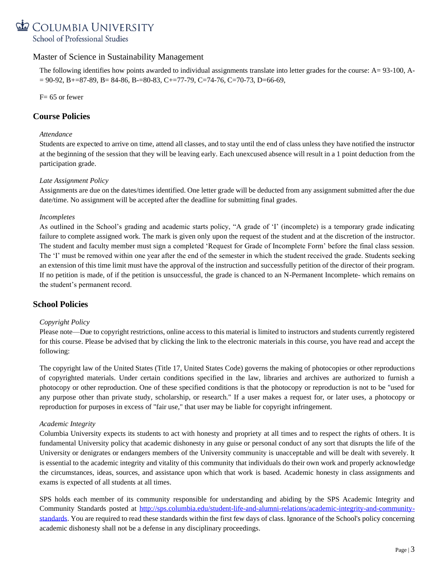# COLUMBIA UNIVERSITY School of Professional Studies

# Master of Science in Sustainability Management

The following identifies how points awarded to individual assignments translate into letter grades for the course: A= 93-100, A-  $= 90-92$ , B $+287-89$ , B $= 84-86$ , B $-80-83$ , C $+277-79$ , C $=74-76$ , C $=70-73$ , D $=66-69$ ,

 $F= 65$  or fewer

# **Course Policies**

### *Attendance*

Students are expected to arrive on time, attend all classes, and to stay until the end of class unless they have notified the instructor at the beginning of the session that they will be leaving early. Each unexcused absence will result in a 1 point deduction from the participation grade.

### *Late Assignment Policy*

Assignments are due on the dates/times identified. One letter grade will be deducted from any assignment submitted after the due date/time. No assignment will be accepted after the deadline for submitting final grades.

### *Incompletes*

As outlined in the School's grading and academic starts policy, "A grade of 'I' (incomplete) is a temporary grade indicating failure to complete assigned work. The mark is given only upon the request of the student and at the discretion of the instructor. The student and faculty member must sign a completed 'Request for Grade of Incomplete Form' before the final class session. The 'I' must be removed within one year after the end of the semester in which the student received the grade. Students seeking an extension of this time limit must have the approval of the instruction and successfully petition of the director of their program. If no petition is made, of if the petition is unsuccessful, the grade is chanced to an N-Permanent Incomplete- which remains on the student's permanent record.

# **School Policies**

### *Copyright Policy*

Please note—Due to copyright restrictions, online access to this material is limited to instructors and students currently registered for this course. Please be advised that by clicking the link to the electronic materials in this course, you have read and accept the following:

The copyright law of the United States (Title 17, United States Code) governs the making of photocopies or other reproductions of copyrighted materials. Under certain conditions specified in the law, libraries and archives are authorized to furnish a photocopy or other reproduction. One of these specified conditions is that the photocopy or reproduction is not to be "used for any purpose other than private study, scholarship, or research." If a user makes a request for, or later uses, a photocopy or reproduction for purposes in excess of "fair use," that user may be liable for copyright infringement.

### *Academic Integrity*

Columbia University expects its students to act with honesty and propriety at all times and to respect the rights of others. It is fundamental University policy that academic dishonesty in any guise or personal conduct of any sort that disrupts the life of the University or denigrates or endangers members of the University community is unacceptable and will be dealt with severely. It is essential to the academic integrity and vitality of this community that individuals do their own work and properly acknowledge the circumstances, ideas, sources, and assistance upon which that work is based. Academic honesty in class assignments and exams is expected of all students at all times.

SPS holds each member of its community responsible for understanding and abiding by the SPS Academic Integrity and Community Standards posted at [http://sps.columbia.edu/student-life-and-alumni-relations/academic-integrity-and-community](http://sps.columbia.edu/student-life-and-alumni-relations/academic-integrity-and-community-standards)[standards.](http://sps.columbia.edu/student-life-and-alumni-relations/academic-integrity-and-community-standards) You are required to read these standards within the first few days of class. Ignorance of the School's policy concerning academic dishonesty shall not be a defense in any disciplinary proceedings.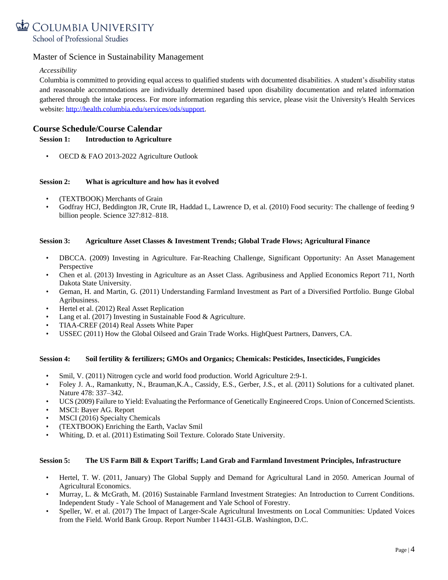

### *Accessibility*

Columbia is committed to providing equal access to qualified students with documented disabilities. A student's disability status and reasonable accommodations are individually determined based upon disability documentation and related information gathered through the intake process. For more information regarding this service, please visit the University's Health Services website: [http://health.columbia.edu/services/ods/support.](http://health.columbia.edu/services/ods/support)

# **Course Schedule/Course Calendar**

### **Session 1: Introduction to Agriculture**

• OECD & FAO 2013-2022 Agriculture Outlook

### **Session 2: What is agriculture and how has it evolved**

- (TEXTBOOK) Merchants of Grain
- Godfray HCJ, Beddington JR, Crute IR, Haddad L, Lawrence D, et al. (2010) Food security: The challenge of feeding 9 billion people. Science 327:812–818.

### **Session 3: Agriculture Asset Classes & Investment Trends; Global Trade Flows; Agricultural Finance**

- DBCCA. (2009) Investing in Agriculture. Far-Reaching Challenge, Significant Opportunity: An Asset Management Perspective
- Chen et al. (2013) Investing in Agriculture as an Asset Class. Agribusiness and Applied Economics Report 711, North Dakota State University.
- Geman, H. and Martin, G. (2011) Understanding Farmland Investment as Part of a Diversified Portfolio. Bunge Global Agribusiness.
- Hertel et al. (2012) Real Asset Replication
- Lang et al. (2017) Investing in Sustainable Food & Agriculture.
- TIAA-CREF (2014) Real Assets White Paper
- USSEC (2011) How the Global Oilseed and Grain Trade Works. HighQuest Partners, Danvers, CA.

### **Session 4: Soil fertility & fertilizers; GMOs and Organics; Chemicals: Pesticides, Insecticides, Fungicides**

- Smil, V. (2011) Nitrogen cycle and world food production. World Agriculture 2:9-1.
- Foley J. A., Ramankutty, N., Brauman,K.A., Cassidy, E.S., Gerber, J.S., et al. (2011) Solutions for a cultivated planet. Nature 478: 337–342.
- UCS (2009) Failure to Yield: Evaluating the Performance of Genetically Engineered Crops. Union of Concerned Scientists.
- MSCI: Bayer AG. Report
- MSCI (2016) Specialty Chemicals
- (TEXTBOOK) Enriching the Earth, Vaclav Smil
- Whiting, D. et al. (2011) Estimating Soil Texture. Colorado State University.

### **Session 5: The US Farm Bill & Export Tariffs; Land Grab and Farmland Investment Principles, Infrastructure**

- Hertel, T. W. (2011, January) The Global Supply and Demand for Agricultural Land in 2050. American Journal of Agricultural Economics.
- Murray, L. & McGrath, M. (2016) Sustainable Farmland Investment Strategies: An Introduction to Current Conditions. Independent Study - Yale School of Management and Yale School of Forestry.
- Speller, W. et al. (2017) The Impact of Larger-Scale Agricultural Investments on Local Communities: Updated Voices from the Field. World Bank Group. Report Number 114431-GLB. Washington, D.C.